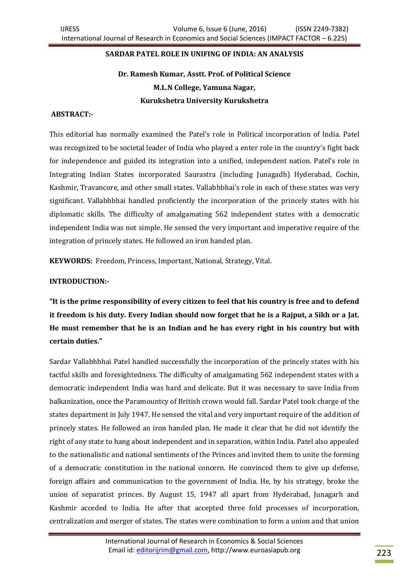# **SARDAR PATEL ROLE IN UNIFING OF INDIA: AN ANALYSIS**

# **Dr. Ramesh Kumar, Asstt. Prof. of Political Science M.L.N College, Yamuna Nagar, Kurukshetra University Kurukshetra**

#### **ABSTRACT:-**

This editorial has normally examined the Patel's role in Political incorporation of India. Patel was recognized to be societal leader of India who played a enter role in the country's fight back for independence and guided its integration into a unified, independent nation. Patel's role in Integrating Indian States incorporated Saurastra (including Junagadh) Hyderabad, Cochin, Kashmir, Travancore, and other small states. Vallabhbhai's role in each of these states was very significant. Vallabhbhai handled proficiently the incorporation of the princely states with his diplomatic skills. The difficulty of amalgamating 562 independent states with a democratic independent India was not simple. He sensed the very important and imperative require of the integration of princely states. He followed an iron handed plan.

**KEYWORDS:** Freedom, Princess, Important, National, Strategy, Vital.

## **INTRODUCTION:-**

**"It is the prime responsibility of every citizen to feel that his country is free and to defend it freedom is his duty. Every Indian should now forget that he is a Rajput, a Sikh or a Jat. He must remember that he is an Indian and he has every right in his country but with certain duties."**

Sardar Vallabhbhai Patel handled successfully the incorporation of the princely states with his tactful skills and foresightedness. The difficulty of amalgamating 562 independent states with a democratic independent India was hard and delicate. But it was necessary to save India from balkanization, once the Paramountcy of British crown would fall. Sardar Patel took charge of the states department in July 1947. He sensed the vital and very important require of the addition of princely states. He followed an iron handed plan. He made it clear that he did not identify the right of any state to hang about independent and in separation, within India. Patel also appealed to the nationalistic and national sentiments of the Princes and invited them to unite the forming of a democratic constitution in the national concern. He convinced them to give up defense, foreign affairs and communication to the government of India. He, by his strategy, broke the union of separatist princes. By August 15, 1947 all apart from Hyderabad, Junagarh and Kashmir acceded to India. He after that accepted three fold processes of incorporation, centralization and merger of states. The states were combination to form a union and that union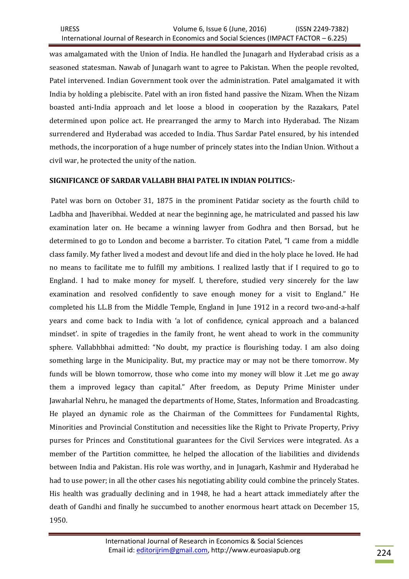was amalgamated with the Union of India. He handled the Junagarh and Hyderabad crisis as a seasoned statesman. Nawab of Junagarh want to agree to Pakistan. When the people revolted, Patel intervened. Indian Government took over the administration. Patel amalgamated it with India by holding a plebiscite. Patel with an iron fisted hand passive the Nizam. When the Nizam boasted anti-India approach and let loose a blood in cooperation by the Razakars, Patel determined upon police act. He prearranged the army to March into Hyderabad. The Nizam surrendered and Hyderabad was acceded to India. Thus Sardar Patel ensured, by his intended methods, the incorporation of a huge number of princely states into the Indian Union. Without a civil war, he protected the unity of the nation.

## **SIGNIFICANCE OF SARDAR VALLABH BHAI PATEL IN INDIAN POLITICS:-**

Patel was born on October 31, 1875 in the prominent Patidar society as the fourth child to Ladbha and Jhaveribhai. Wedded at near the beginning age, he matriculated and passed his law examination later on. He became a winning lawyer from Godhra and then Borsad, but he determined to go to London and become a barrister. To citation Patel, "I came from a middle class family. My father lived a modest and devout life and died in the holy place he loved. He had no means to facilitate me to fulfill my ambitions. I realized lastly that if I required to go to England. I had to make money for myself. I, therefore, studied very sincerely for the law examination and resolved confidently to save enough money for a visit to England." He completed his LL.B from the Middle Temple, England in June 1912 in a record two-and-a-half years and come back to India with 'a lot of confidence, cynical approach and a balanced mindset'. in spite of tragedies in the family front, he went ahead to work in the community sphere. Vallabhbhai admitted: "No doubt, my practice is flourishing today. I am also doing something large in the Municipality. But, my practice may or may not be there tomorrow. My funds will be blown tomorrow, those who come into my money will blow it .Let me go away them a improved legacy than capital." After freedom, as Deputy Prime Minister under Jawaharlal Nehru, he managed the departments of Home, States, Information and Broadcasting. He played an dynamic role as the Chairman of the Committees for Fundamental Rights, Minorities and Provincial Constitution and necessities like the Right to Private Property, Privy purses for Princes and Constitutional guarantees for the Civil Services were integrated. As a member of the Partition committee, he helped the allocation of the liabilities and dividends between India and Pakistan. His role was worthy, and in Junagarh, Kashmir and Hyderabad he had to use power; in all the other cases his negotiating ability could combine the princely States. His health was gradually declining and in 1948, he had a heart attack immediately after the death of Gandhi and finally he succumbed to another enormous heart attack on December 15, 1950.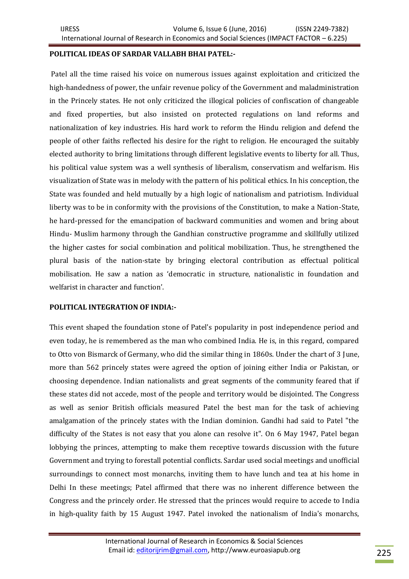#### **POLITICAL IDEAS OF SARDAR VALLABH BHAI PATEL:-**

Patel all the time raised his voice on numerous issues against exploitation and criticized the high-handedness of power, the unfair revenue policy of the Government and maladministration in the Princely states. He not only criticized the illogical policies of confiscation of changeable and fixed properties, but also insisted on protected regulations on land reforms and nationalization of key industries. His hard work to reform the Hindu religion and defend the people of other faiths reflected his desire for the right to religion. He encouraged the suitably elected authority to bring limitations through different legislative events to liberty for all. Thus, his political value system was a well synthesis of liberalism, conservatism and welfarism. His visualization of State was in melody with the pattern of his political ethics. In his conception, the State was founded and held mutually by a high logic of nationalism and patriotism. Individual liberty was to be in conformity with the provisions of the Constitution, to make a Nation-State, he hard-pressed for the emancipation of backward communities and women and bring about Hindu- Muslim harmony through the Gandhian constructive programme and skillfully utilized the higher castes for social combination and political mobilization. Thus, he strengthened the plural basis of the nation-state by bringing electoral contribution as effectual political mobilisation. He saw a nation as 'democratic in structure, nationalistic in foundation and welfarist in character and function'.

#### **POLITICAL INTEGRATION OF INDIA:-**

This event shaped the foundation stone of Patel's popularity in post independence period and even today, he is remembered as the man who combined India. He is, in this regard, compared to Otto von Bismarck of Germany, who did the similar thing in 1860s. Under the chart of 3 June, more than 562 princely states were agreed the option of joining either India or Pakistan, or choosing dependence. Indian nationalists and great segments of the community feared that if these states did not accede, most of the people and territory would be disjointed. The Congress as well as senior British officials measured Patel the best man for the task of achieving amalgamation of the princely states with the Indian dominion. Gandhi had said to Patel "the difficulty of the States is not easy that you alone can resolve it". On 6 May 1947, Patel began lobbying the princes, attempting to make them receptive towards discussion with the future Government and trying to forestall potential conflicts. Sardar used social meetings and unofficial surroundings to connect most monarchs, inviting them to have lunch and tea at his home in Delhi In these meetings; Patel affirmed that there was no inherent difference between the Congress and the princely order. He stressed that the princes would require to accede to India in high-quality faith by 15 August 1947. Patel invoked the nationalism of India's monarchs,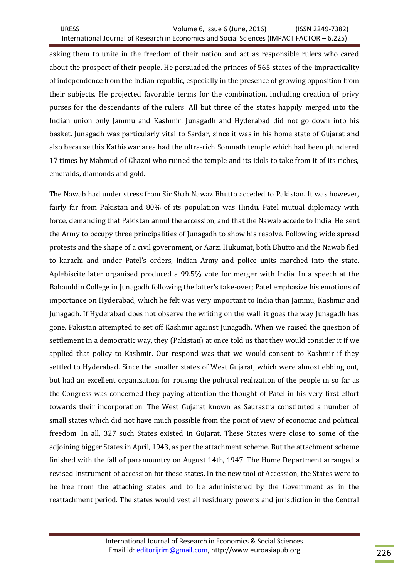asking them to unite in the freedom of their nation and act as responsible rulers who cared about the prospect of their people. He persuaded the princes of 565 states of the impracticality of independence from the Indian republic, especially in the presence of growing opposition from their subjects. He projected favorable terms for the combination, including creation of privy purses for the descendants of the rulers. All but three of the states happily merged into the Indian union only Jammu and Kashmir, Junagadh and Hyderabad did not go down into his basket. Junagadh was particularly vital to Sardar, since it was in his home state of Gujarat and also because this Kathiawar area had the ultra-rich Somnath temple which had been plundered 17 times by Mahmud of Ghazni who ruined the temple and its idols to take from it of its riches, emeralds, diamonds and gold.

The Nawab had under stress from Sir Shah Nawaz Bhutto acceded to Pakistan. It was however, fairly far from Pakistan and 80% of its population was Hindu. Patel mutual diplomacy with force, demanding that Pakistan annul the accession, and that the Nawab accede to India. He sent the Army to occupy three principalities of Junagadh to show his resolve. Following wide spread protests and the shape of a civil government, or Aarzi Hukumat, both Bhutto and the Nawab fled to karachi and under Patel's orders, Indian Army and police units marched into the state. Aplebiscite later organised produced a 99.5% vote for merger with India. In a speech at the Bahauddin College in Junagadh following the latter's take-over; Patel emphasize his emotions of importance on Hyderabad, which he felt was very important to India than Jammu, Kashmir and Junagadh. If Hyderabad does not observe the writing on the wall, it goes the way Junagadh has gone. Pakistan attempted to set off Kashmir against Junagadh. When we raised the question of settlement in a democratic way, they (Pakistan) at once told us that they would consider it if we applied that policy to Kashmir. Our respond was that we would consent to Kashmir if they settled to Hyderabad. Since the smaller states of West Gujarat, which were almost ebbing out, but had an excellent organization for rousing the political realization of the people in so far as the Congress was concerned they paying attention the thought of Patel in his very first effort towards their incorporation. The West Gujarat known as Saurastra constituted a number of small states which did not have much possible from the point of view of economic and political freedom. In all, 327 such States existed in Gujarat. These States were close to some of the adjoining bigger States in April, 1943, as per the attachment scheme. But the attachment scheme finished with the fall of paramountcy on August 14th, 1947. The Home Department arranged a revised Instrument of accession for these states. In the new tool of Accession, the States were to be free from the attaching states and to be administered by the Government as in the reattachment period. The states would vest all residuary powers and jurisdiction in the Central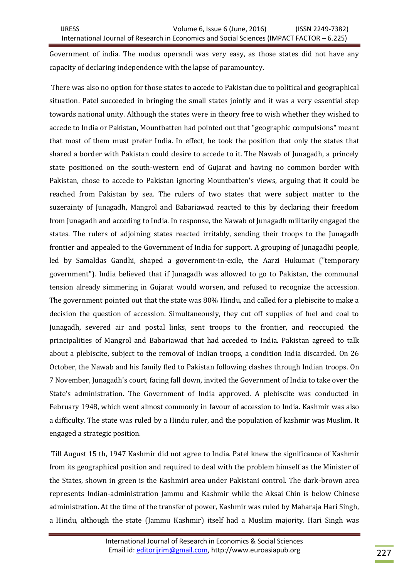Government of india. The modus operandi was very easy, as those states did not have any capacity of declaring independence with the lapse of paramountcy.

There was also no option for those states to accede to Pakistan due to political and geographical situation. Patel succeeded in bringing the small states jointly and it was a very essential step towards national unity. Although the states were in theory free to wish whether they wished to accede to India or Pakistan, Mountbatten had pointed out that "geographic compulsions" meant that most of them must prefer India. In effect, he took the position that only the states that shared a border with Pakistan could desire to accede to it. The Nawab of Junagadh, a princely state positioned on the south-western end of Gujarat and having no common border with Pakistan, chose to accede to Pakistan ignoring Mountbatten's views, arguing that it could be reached from Pakistan by sea. The rulers of two states that were subject matter to the suzerainty of Junagadh, Mangrol and Babariawad reacted to this by declaring their freedom from Junagadh and acceding to India. In response, the Nawab of Junagadh militarily engaged the states. The rulers of adjoining states reacted irritably, sending their troops to the Junagadh frontier and appealed to the Government of India for support. A grouping of Junagadhi people, led by Samaldas Gandhi, shaped a government-in-exile, the Aarzi Hukumat ("temporary government"). India believed that if Junagadh was allowed to go to Pakistan, the communal tension already simmering in Gujarat would worsen, and refused to recognize the accession. The government pointed out that the state was 80% Hindu, and called for a plebiscite to make a decision the question of accession. Simultaneously, they cut off supplies of fuel and coal to Junagadh, severed air and postal links, sent troops to the frontier, and reoccupied the principalities of Mangrol and Babariawad that had acceded to India. Pakistan agreed to talk about a plebiscite, subject to the removal of Indian troops, a condition India discarded. On 26 October, the Nawab and his family fled to Pakistan following clashes through Indian troops. On 7 November, Junagadh's court, facing fall down, invited the Government of India to take over the State's administration. The Government of India approved. A plebiscite was conducted in February 1948, which went almost commonly in favour of accession to India. Kashmir was also a difficulty. The state was ruled by a Hindu ruler, and the population of kashmir was Muslim. It engaged a strategic position.

Till August 15 th, 1947 Kashmir did not agree to India. Patel knew the significance of Kashmir from its geographical position and required to deal with the problem himself as the Minister of the States, shown in green is the Kashmiri area under Pakistani control. The dark-brown area represents Indian-administration Jammu and Kashmir while the Aksai Chin is below Chinese administration. At the time of the transfer of power, Kashmir was ruled by Maharaja Hari Singh, a Hindu, although the state (Jammu Kashmir) itself had a Muslim majority. Hari Singh was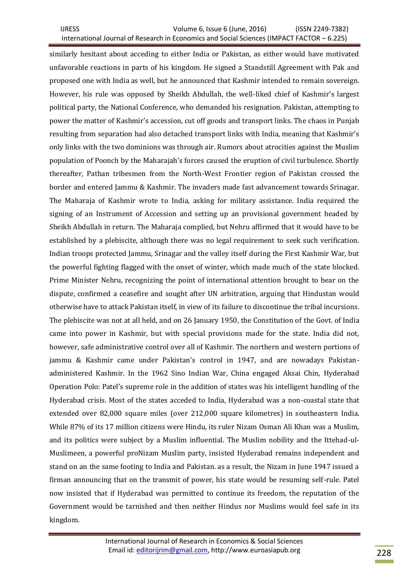IJRESS Volume 6, Issue 6 (June, 2016) (ISSN 2249-7382) International Journal of Research in Economics and Social Sciences (IMPACT FACTOR – 6.225)

similarly hesitant about acceding to either India or Pakistan, as either would have motivated unfavorable reactions in parts of his kingdom. He signed a Standstill Agreement with Pak and proposed one with India as well, but he announced that Kashmir intended to remain sovereign. However, his rule was opposed by Sheikh Abdullah, the well-liked chief of Kashmir's largest political party, the National Conference, who demanded his resignation. Pakistan, attempting to power the matter of Kashmir's accession, cut off goods and transport links. The chaos in Punjab resulting from separation had also detached transport links with India, meaning that Kashmir's only links with the two dominions was through air. Rumors about atrocities against the Muslim population of Poonch by the Maharajah's forces caused the eruption of civil turbulence. Shortly thereafter, Pathan tribesmen from the North-West Frontier region of Pakistan crossed the border and entered Jammu & Kashmir. The invaders made fast advancement towards Srinagar. The Maharaja of Kashmir wrote to India, asking for military assistance. India required the signing of an Instrument of Accession and setting up an provisional government headed by Sheikh Abdullah in return. The Maharaja complied, but Nehru affirmed that it would have to be established by a plebiscite, although there was no legal requirement to seek such verification. Indian troops protected Jammu, Srinagar and the valley itself during the First Kashmir War, but the powerful fighting flagged with the onset of winter, which made much of the state blocked. Prime Minister Nehru, recognizing the point of international attention brought to bear on the dispute, confirmed a ceasefire and sought after UN arbitration, arguing that Hindustan would otherwise have to attack Pakistan itself, in view of its failure to discontinue the tribal incursions. The plebiscite was not at all held, and on 26 January 1950, the Constitution of the Govt. of India came into power in Kashmir, but with special provisions made for the state. India did not, however, safe administrative control over all of Kashmir. The northern and western portions of jammu & Kashmir came under Pakistan's control in 1947, and are nowadays Pakistanadministered Kashmir. In the 1962 Sino Indian War, China engaged Aksai Chin, Hyderabad Operation Polo: Patel's supreme role in the addition of states was his intelligent handling of the Hyderabad crisis. Most of the states acceded to India, Hyderabad was a non-coastal state that extended over 82,000 square miles (over 212,000 square kilometres) in southeastern India. While 87% of its 17 million citizens were Hindu, its ruler Nizam Osman Ali Khan was a Muslim, and its politics were subject by a Muslim influential. The Muslim nobility and the Ittehad-ul-Muslimeen, a powerful proNizam Muslim party, insisted Hyderabad remains independent and stand on an the same footing to India and Pakistan. as a result, the Nizam in June 1947 issued a firman announcing that on the transmit of power, his state would be resuming self-rule. Patel now insisted that if Hyderabad was permitted to continue its freedom, the reputation of the Government would be tarnished and then neither Hindus nor Muslims would feel safe in its kingdom.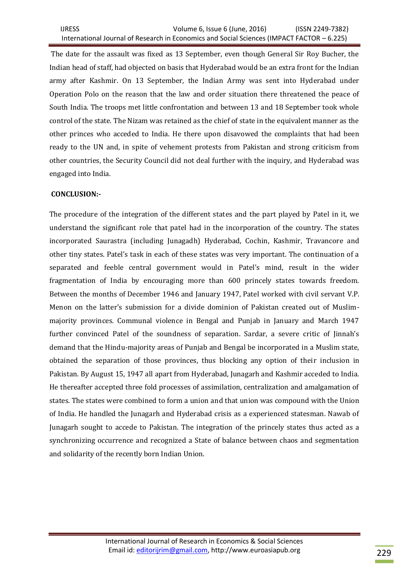The date for the assault was fixed as 13 September, even though General Sir Roy Bucher, the Indian head of staff, had objected on basis that Hyderabad would be an extra front for the Indian army after Kashmir. On 13 September, the Indian Army was sent into Hyderabad under Operation Polo on the reason that the law and order situation there threatened the peace of South India. The troops met little confrontation and between 13 and 18 September took whole control of the state. The Nizam was retained as the chief of state in the equivalent manner as the other princes who acceded to India. He there upon disavowed the complaints that had been ready to the UN and, in spite of vehement protests from Pakistan and strong criticism from other countries, the Security Council did not deal further with the inquiry, and Hyderabad was engaged into India.

# **CONCLUSION:-**

The procedure of the integration of the different states and the part played by Patel in it, we understand the significant role that patel had in the incorporation of the country. The states incorporated Saurastra (including Junagadh) Hyderabad, Cochin, Kashmir, Travancore and other tiny states. Patel's task in each of these states was very important. The continuation of a separated and feeble central government would in Patel's mind, result in the wider fragmentation of India by encouraging more than 600 princely states towards freedom. Between the months of December 1946 and January 1947, Patel worked with civil servant V.P. Menon on the latter's submission for a divide dominion of Pakistan created out of Muslimmajority provinces. Communal violence in Bengal and Punjab in January and March 1947 further convinced Patel of the soundness of separation. Sardar, a severe critic of Jinnah's demand that the Hindu-majority areas of Punjab and Bengal be incorporated in a Muslim state, obtained the separation of those provinces, thus blocking any option of their inclusion in Pakistan. By August 15, 1947 all apart from Hyderabad, Junagarh and Kashmir acceded to India. He thereafter accepted three fold processes of assimilation, centralization and amalgamation of states. The states were combined to form a union and that union was compound with the Union of India. He handled the Junagarh and Hyderabad crisis as a experienced statesman. Nawab of Junagarh sought to accede to Pakistan. The integration of the princely states thus acted as a synchronizing occurrence and recognized a State of balance between chaos and segmentation and solidarity of the recently born Indian Union.